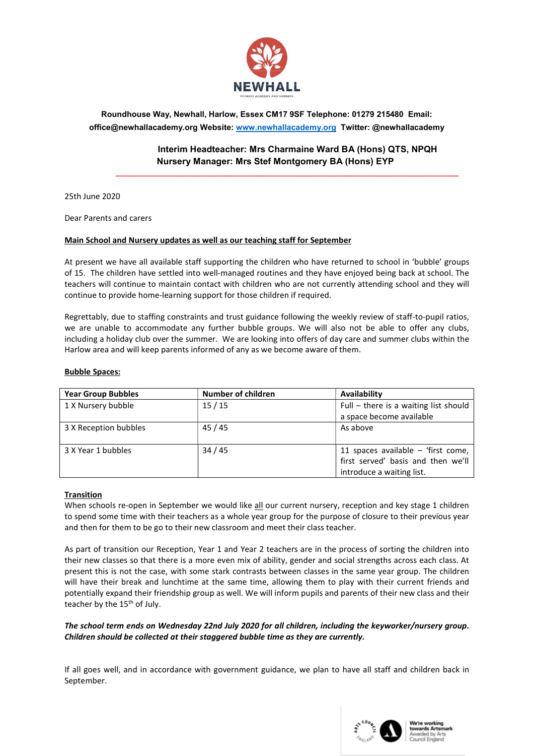

Roundhouse Way, Newhall, Harlow, Essex CM17 9SF Telephone: 01279 215480 Email: office@newhallacademy.org Website: www.newhallacademy.org Twitter: @newhallacademy

## Interim Headteacher: Mrs Charmaine Ward BA (Hons) QTS, NPQH Nursery Manager: Mrs Stef Montgomery BA (Hons) EYP

\_\_\_\_\_\_\_\_\_\_\_\_\_\_\_\_\_\_\_\_\_\_\_\_\_\_\_\_\_\_\_\_\_\_\_\_\_\_\_\_\_\_\_\_\_\_\_\_\_\_\_\_\_\_\_\_\_\_\_\_\_\_\_\_\_\_\_\_\_\_\_\_\_\_\_\_\_\_\_\_\_

25th June 2020

Dear Parents and carers

## Main School and Nursery updates as well as our teaching staff for September

At present we have all available staff supporting the children who have returned to school in 'bubble' groups of 15. The children have settled into well-managed routines and they have enjoyed being back at school. The teachers will continue to maintain contact with children who are not currently attending school and they will continue to provide home-learning support for those children if required.

Regrettably, due to staffing constraints and trust guidance following the weekly review of staff-to-pupil ratios, we are unable to accommodate any further bubble groups. We will also not be able to offer any clubs, including a holiday club over the summer. We are looking into offers of day care and summer clubs within the Harlow area and will keep parents informed of any as we become aware of them.

#### Bubble Spaces:

| <b>Year Group Bubbles</b> | <b>Number of children</b> | Availability                          |
|---------------------------|---------------------------|---------------------------------------|
| 1 X Nursery bubble        | 15/15                     | Full - there is a waiting list should |
|                           |                           | a space become available              |
| 3 X Reception bubbles     | 45/45                     | As above                              |
|                           |                           |                                       |
| 3 X Year 1 bubbles        | 34/45                     | 11 spaces available $-$ 'first come,  |
|                           |                           | first served' basis and then we'll    |
|                           |                           | introduce a waiting list.             |

#### Transition

When schools re-open in September we would like all our current nursery, reception and key stage 1 children to spend some time with their teachers as a whole year group for the purpose of closure to their previous year and then for them to be go to their new classroom and meet their class teacher.

As part of transition our Reception, Year 1 and Year 2 teachers are in the process of sorting the children into their new classes so that there is a more even mix of ability, gender and social strengths across each class. At present this is not the case, with some stark contrasts between classes in the same year group. The children will have their break and lunchtime at the same time, allowing them to play with their current friends and potentially expand their friendship group as well. We will inform pupils and parents of their new class and their teacher by the 15<sup>th</sup> of July.

### The school term ends on Wednesday 22nd July 2020 for all children, including the keyworker/nursery group. Children should be collected at their staggered bubble time as they are currently.

If all goes well, and in accordance with government guidance, we plan to have all staff and children back in September.